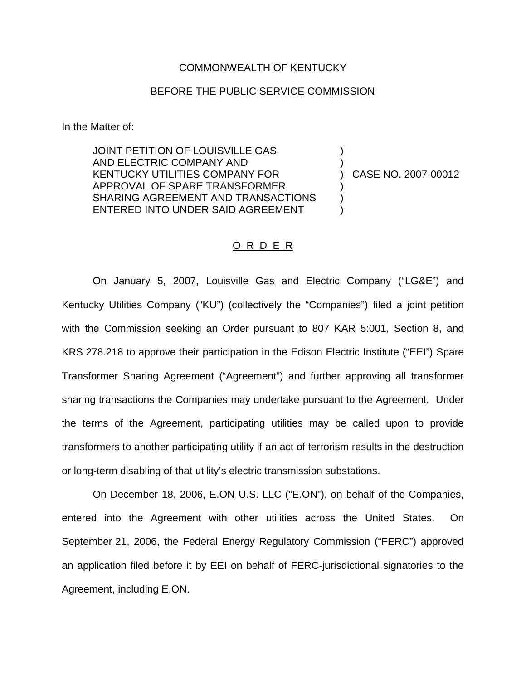## COMMONWEALTH OF KENTUCKY

## BEFORE THE PUBLIC SERVICE COMMISSION

In the Matter of:

JOINT PETITION OF LOUISVILLE GAS AND ELECTRIC COMPANY AND ) KENTUCKY UTILITIES COMPANY FOR ) CASE NO. 2007-00012 APPROVAL OF SPARE TRANSFORMER ) SHARING AGREEMENT AND TRANSACTIONS ENTERED INTO UNDER SAID AGREEMENT

## O R D E R

On January 5, 2007, Louisville Gas and Electric Company ("LG&E") and Kentucky Utilities Company ("KU") (collectively the "Companies") filed a joint petition with the Commission seeking an Order pursuant to 807 KAR 5:001, Section 8, and KRS 278.218 to approve their participation in the Edison Electric Institute ("EEI") Spare Transformer Sharing Agreement ("Agreement") and further approving all transformer sharing transactions the Companies may undertake pursuant to the Agreement. Under the terms of the Agreement, participating utilities may be called upon to provide transformers to another participating utility if an act of terrorism results in the destruction or long-term disabling of that utility's electric transmission substations.

On December 18, 2006, E.ON U.S. LLC ("E.ON"), on behalf of the Companies, entered into the Agreement with other utilities across the United States. On September 21, 2006, the Federal Energy Regulatory Commission ("FERC") approved an application filed before it by EEI on behalf of FERC-jurisdictional signatories to the Agreement, including E.ON.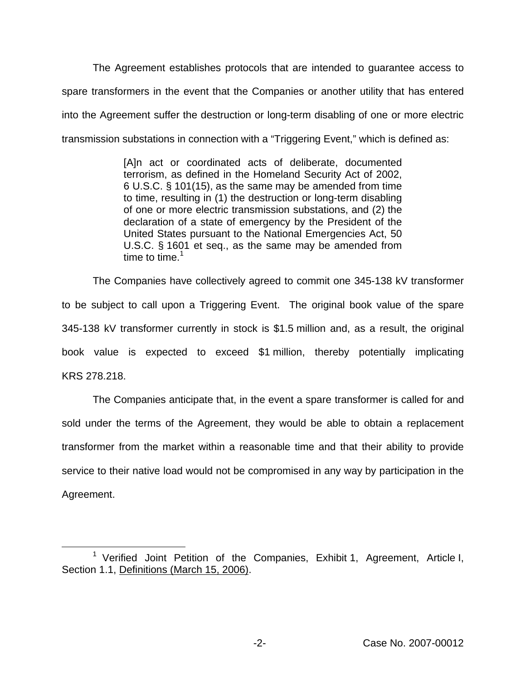The Agreement establishes protocols that are intended to guarantee access to spare transformers in the event that the Companies or another utility that has entered into the Agreement suffer the destruction or long-term disabling of one or more electric transmission substations in connection with a "Triggering Event," which is defined as:

> [A]n act or coordinated acts of deliberate, documented terrorism, as defined in the Homeland Security Act of 2002, 6 U.S.C. § 101(15), as the same may be amended from time to time, resulting in (1) the destruction or long-term disabling of one or more electric transmission substations, and (2) the declaration of a state of emergency by the President of the United States pursuant to the National Emergencies Act, 50 U.S.C. § 1601 et seq., as the same may be amended from time to time.  $1$

The Companies have collectively agreed to commit one 345-138 kV transformer to be subject to call upon a Triggering Event. The original book value of the spare 345-138 kV transformer currently in stock is \$1.5 million and, as a result, the original book value is expected to exceed \$1 million, thereby potentially implicating KRS 278.218.

The Companies anticipate that, in the event a spare transformer is called for and sold under the terms of the Agreement, they would be able to obtain a replacement transformer from the market within a reasonable time and that their ability to provide service to their native load would not be compromised in any way by participation in the Agreement.

<sup>&</sup>lt;sup>1</sup> Verified Joint Petition of the Companies, Exhibit 1, Agreement, Article I, Section 1.1, Definitions (March 15, 2006).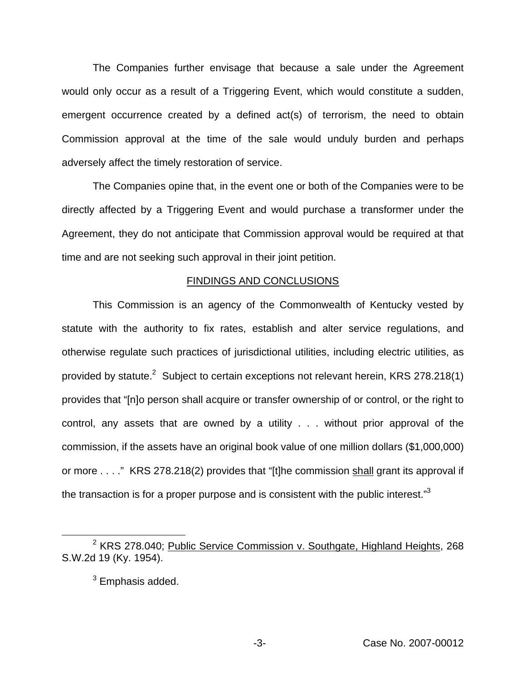The Companies further envisage that because a sale under the Agreement would only occur as a result of a Triggering Event, which would constitute a sudden, emergent occurrence created by a defined act(s) of terrorism, the need to obtain Commission approval at the time of the sale would unduly burden and perhaps adversely affect the timely restoration of service.

The Companies opine that, in the event one or both of the Companies were to be directly affected by a Triggering Event and would purchase a transformer under the Agreement, they do not anticipate that Commission approval would be required at that time and are not seeking such approval in their joint petition.

## FINDINGS AND CONCLUSIONS

This Commission is an agency of the Commonwealth of Kentucky vested by statute with the authority to fix rates, establish and alter service regulations, and otherwise regulate such practices of jurisdictional utilities, including electric utilities, as provided by statute.<sup>2</sup> Subject to certain exceptions not relevant herein, KRS 278.218(1) provides that "[n]o person shall acquire or transfer ownership of or control, or the right to control, any assets that are owned by a utility . . . without prior approval of the commission, if the assets have an original book value of one million dollars (\$1,000,000) or more . . . ." KRS 278.218(2) provides that "[t]he commission shall grant its approval if the transaction is for a proper purpose and is consistent with the public interest."<sup>3</sup>

<sup>&</sup>lt;sup>2</sup> KRS 278.040; Public Service Commission v. Southgate, Highland Heights, 268 S.W.2d 19 (Ky. 1954).

 $3$  Emphasis added.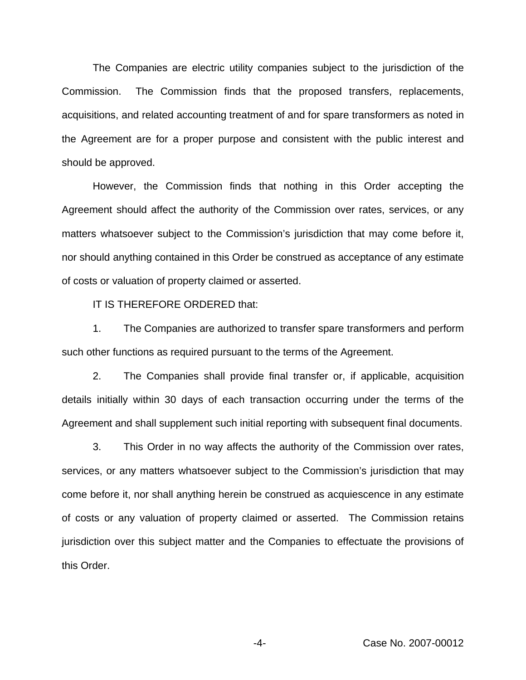The Companies are electric utility companies subject to the jurisdiction of the Commission. The Commission finds that the proposed transfers, replacements, acquisitions, and related accounting treatment of and for spare transformers as noted in the Agreement are for a proper purpose and consistent with the public interest and should be approved.

However, the Commission finds that nothing in this Order accepting the Agreement should affect the authority of the Commission over rates, services, or any matters whatsoever subject to the Commission's jurisdiction that may come before it, nor should anything contained in this Order be construed as acceptance of any estimate of costs or valuation of property claimed or asserted.

IT IS THEREFORE ORDERED that:

1. The Companies are authorized to transfer spare transformers and perform such other functions as required pursuant to the terms of the Agreement.

2. The Companies shall provide final transfer or, if applicable, acquisition details initially within 30 days of each transaction occurring under the terms of the Agreement and shall supplement such initial reporting with subsequent final documents.

3. This Order in no way affects the authority of the Commission over rates, services, or any matters whatsoever subject to the Commission's jurisdiction that may come before it, nor shall anything herein be construed as acquiescence in any estimate of costs or any valuation of property claimed or asserted. The Commission retains jurisdiction over this subject matter and the Companies to effectuate the provisions of this Order.